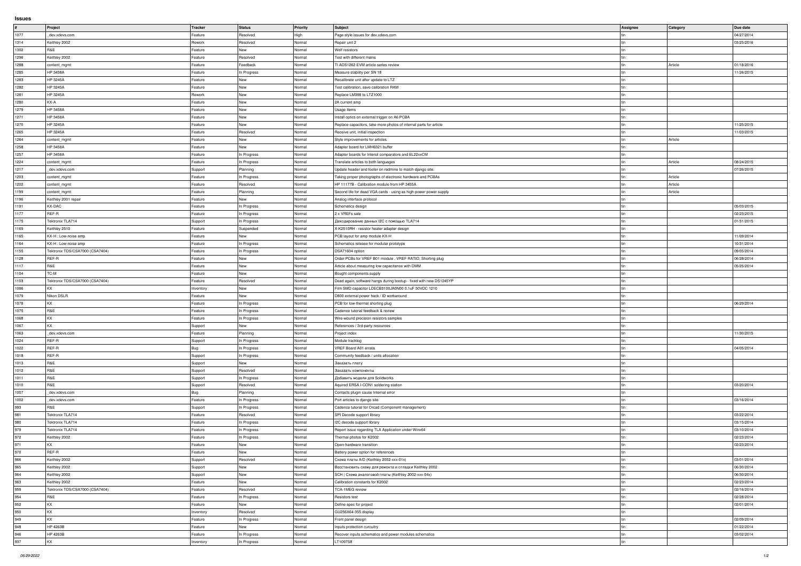## **Issues**

| #                                                                         | Project                         | Tracker   | <b>Status</b> | <b>Priority</b> | Subject                                                            | <b>Assignee</b> | Category | Due date   |
|---------------------------------------------------------------------------|---------------------------------|-----------|---------------|-----------------|--------------------------------------------------------------------|-----------------|----------|------------|
| 1077                                                                      | _dev.xdevs.com                  | Feature   | Resolved      | High            | Page style issues for dev.xdevs.com                                |                 |          | 04/27/2014 |
| 1314                                                                      | Keithley 2002                   | Rework    | Resolved      | Normal          | Repair unit 2                                                      |                 |          | 03/25/2016 |
|                                                                           |                                 |           |               |                 |                                                                    |                 |          |            |
| 1302                                                                      | R&E                             | Feature   | New           | Normal          | <b>Wolf resistors</b>                                              |                 |          |            |
| 1296                                                                      | Keithley 2002                   | Feature   | Resolved      | Normal          | Test with different mains                                          |                 |          |            |
|                                                                           |                                 |           |               |                 |                                                                    |                 |          |            |
| 1288                                                                      | content_mgmt                    | Feature   | Feedback      | Normal          | TI ADS1262 EVM article series review                               |                 | Article  | 01/18/2016 |
| 1285                                                                      | <b>HP 3458A</b>                 | Feature   | In Progress   | Normal          | Measure stability per SN 18                                        |                 |          | 11/26/2015 |
| 1283                                                                      | HP 3245A                        | Feature   | New           | Normal          | Recalibrate unit after update to LTZ                               |                 |          |            |
|                                                                           |                                 |           |               |                 |                                                                    |                 |          |            |
| 1282                                                                      | HP 3245A                        | Feature   | New           | Normal          | Test calibration, save calibration RAM                             |                 |          |            |
| 1281                                                                      | HP 3245A                        | Rework    | New           | Normal          | Replace LM399 to LTZ1000                                           |                 |          |            |
|                                                                           |                                 |           |               |                 |                                                                    |                 |          |            |
| 1280                                                                      | KX-A                            | Feature   | New           | Normal          | 2A current amp                                                     |                 |          |            |
| 1279                                                                      | <b>HP 3458A</b>                 | Feature   | New           | Normal          | Usage items                                                        |                 |          |            |
| 1271                                                                      | <b>HP 3458A</b>                 | Feature   | New           | Normal          | Install optics on external trigger on A6 PCBA                      |                 |          |            |
|                                                                           |                                 |           |               |                 |                                                                    |                 |          |            |
| 1270                                                                      | HP 3245A                        | Feature   | New           | Normal          | Replace capacitors, take more photos of internal parts for article |                 |          | 11/25/2015 |
| 1265                                                                      | HP 3245A                        | Feature   | Resolved      | Normal          | Receive unit, initial inspection                                   |                 |          | 11/03/2015 |
| 1264                                                                      |                                 | Feature   | New           | Normal          | Style improvements for articles                                    |                 | Article  |            |
|                                                                           | content_mgmt                    |           |               |                 |                                                                    |                 |          |            |
| 1258                                                                      | <b>HP 3458A</b>                 | Feature   | New           | Normal          | Adapter board for LMH6321 buffer                                   |                 |          |            |
| 1257                                                                      | <b>HP 3458A</b>                 | Feature   | In Progress   | Normal          | Adapter boards for Intersil comparators and EL22xxCM               |                 |          |            |
|                                                                           |                                 |           |               |                 |                                                                    |                 |          |            |
| 1224                                                                      | content_mgmt                    | Feature   | In Progress   | Normal          | Translate articles to both languages                               |                 | Article  | 08/24/2015 |
| 1217                                                                      | dev.xdevs.com                   | Support   | Planning      | Normal          | Update header and footer on redmine to match django site.          |                 |          | 07/26/2015 |
| 1203                                                                      | content_mgmt                    | Feature   | In Progress   | Normal          | Taking proper photographs of electronic hardware and PCBAs         |                 | Article  |            |
|                                                                           |                                 |           |               |                 |                                                                    |                 |          |            |
| 1202                                                                      | content_mgmt                    | Feature   | Resolved      | Normal          | HP 11177B - Calibration module from HP 3455A                       |                 | Article  |            |
| 1199                                                                      | content_mgmt                    | Feature   | Planning      | Normal          | Second life for dead VGA cards - using as high-power power supply  |                 | Article  |            |
|                                                                           |                                 |           |               |                 |                                                                    |                 |          |            |
| 1196                                                                      | Keithley 2001 repair            | Feature   | New           | Normal          | Analog interface protocol                                          |                 |          |            |
| 1191                                                                      | KX-DAC                          | Feature   | In Progress   | Normal          | Schematics design                                                  |                 |          | 05/03/2015 |
| 1177                                                                      | REF-R                           | Feature   | In Progress   | Normal          | 2 x VREFs sale                                                     |                 |          | 02/23/2015 |
|                                                                           |                                 |           |               |                 |                                                                    |                 |          |            |
| 1175                                                                      | Tektronix TLA714                | Support   | In Progress   | Normal          | Декодирование данных I2C с помощью TLA714                          |                 |          | 01/31/2015 |
| 1169                                                                      | Keithley 2510                   | Feature   | Suspended     | Normal          | X-K2510RH - resistor heater adapter design                         |                 |          |            |
|                                                                           |                                 |           |               |                 |                                                                    |                 |          |            |
| 1165                                                                      | KX-H : Low-noise amp            | Feature   | New           | Normal          | PCB layout for amp module KX-H                                     |                 |          | 11/09/2014 |
| 1164                                                                      | KX-H : Low-noise amp            | Feature   | In Progress   | Normal          | Schematics release for modular prototype                           |                 |          | 10/31/2014 |
| 1155                                                                      | Tektronix TDS/CSA7000 (CSA7404) | Feature   | In Progress   | Normal          | DSA71604 option                                                    |                 |          | 09/05/2014 |
|                                                                           |                                 |           |               |                 |                                                                    |                 |          |            |
| 1128                                                                      | REF-R                           | Feature   | New           | Normal          | Order PCBs for VREF B01 module, VREF RATIO, Shorting plug          |                 |          | 06/28/2014 |
| 1117                                                                      | R&E                             | Feature   | New           | Normal          | Article about measuring low capacitance with DMM                   |                 |          | 05/25/2014 |
| 1104                                                                      | TC-M                            | Feature   | New           | Normal          | Bought components supply                                           |                 |          |            |
|                                                                           |                                 |           |               |                 |                                                                    |                 |          |            |
| 1103                                                                      | Tektronix TDS/CSA7000 (CSA7404) | Feature   | Resolved      | Normal          | Dead again, software hangs during bootup - fixed with new DS1245YP |                 |          |            |
|                                                                           |                                 |           |               |                 |                                                                    |                 |          |            |
|                                                                           | KX.                             |           |               |                 |                                                                    |                 |          |            |
|                                                                           |                                 | Inventory | New           | Normal          | Film SMD capacitor LDECB3100JA0N00 0.1uF 50VDC 1210                |                 |          |            |
|                                                                           | Nikon DSLR                      | Feature   | New           | Normal          | D800 external power hack / ID workaround                           |                 |          |            |
| 1086<br>1079<br>1078                                                      | KX                              | Feature   | In Progress   | Normal          | PCB for low-thermal shorting plug                                  |                 |          | 06/29/2014 |
|                                                                           |                                 |           |               |                 |                                                                    |                 |          |            |
| 1075                                                                      | R&E                             | Feature   | In Progress   | Normal          | Cadence tutorial feedback & review                                 |                 |          |            |
| 1068                                                                      | ΚX                              | Feature   | In Progress   | Normal          | Wire-wound precision resistors samples                             |                 |          |            |
|                                                                           |                                 |           | <b>New</b>    |                 |                                                                    |                 |          |            |
| 1067                                                                      |                                 | Support   |               | Normal          | References / 3rd-party resources                                   |                 |          |            |
| 1063                                                                      | dev.xdevs.com                   | Feature   | Planning      | Normal          | Project index                                                      |                 |          | 11/30/2015 |
| 1024                                                                      | REF-R                           | Support   | In Progress   | Normal          | Module tracklog                                                    |                 |          |            |
|                                                                           |                                 |           |               |                 |                                                                    |                 |          |            |
| 1022                                                                      | REF-R                           | Bug       | In Progress   | Normal          | VREF Board A01 errata                                              |                 |          | 04/05/2014 |
| 1018                                                                      | REF-R                           | Support   | In Progress   | Normal          | Community feedback / units allocation                              |                 |          |            |
| 1013                                                                      | R&E                             | Support   | New           | Normal          | Заказать плату                                                     |                 |          |            |
|                                                                           |                                 |           |               |                 |                                                                    |                 |          |            |
| 1012                                                                      | R&E                             | Support   | Resolved      | Normal          | Заказать компоненты                                                |                 |          |            |
| 1011                                                                      | R&E                             | Support   | In Progress   | Normal          | Добавить модели для Solidworks                                     |                 |          |            |
|                                                                           | R&E                             |           | Resolved      | Normal          | Aquired ERSA I-CON1 soldering station                              |                 |          | 03/20/2014 |
| 1010                                                                      |                                 | Support   |               |                 |                                                                    |                 |          |            |
| 1007                                                                      | dev.xdevs.com                   | Bug       | Planning      | Normal          | Contacts plugin cause Internal error                               |                 |          |            |
| 1002                                                                      | dev.xdevs.com                   | Feature   | In Progress   | Normal          | Port articles to django site                                       |                 |          | 03/16/2014 |
|                                                                           |                                 |           |               |                 |                                                                    |                 |          |            |
| 993                                                                       | R&E                             | Support   | In Progress   | Normal          | Cadence tutorial for Orcad (Component management)                  |                 |          |            |
| 981                                                                       | Tektronix TLA714                | Feature   | Resolved      | Normal          | SPI Decode support library                                         |                 |          | 03/22/2014 |
| 980                                                                       | Tektronix TLA714                | Feature   | In Progress   | Normal          | 12C decode support library                                         |                 |          | 03/15/2014 |
|                                                                           |                                 |           |               |                 |                                                                    |                 |          |            |
| 979                                                                       | Tektronix TLA714                | Feature   | In Progress   | Normal          | Report issue regarding TLA Application under Winx64                |                 |          | 03/10/2014 |
| 972                                                                       | Keithley 2002                   | Feature   | In Progress   | Normal          | Thermal photos for K2002                                           |                 |          | 02/23/2014 |
|                                                                           | KX                              |           | New           |                 |                                                                    |                 |          |            |
| 971                                                                       |                                 | Feature   |               | Normal          | Open-hardware transition                                           |                 |          | 02/23/2014 |
| 970                                                                       | REF-R                           | Feature   | New           | Normal          | Battery power option for references                                |                 |          |            |
|                                                                           | Keithley 2002                   | Support   | Resolved      | Normal          | Cхема платы A/D (Keithley 2002-xxx-01x)                            |                 |          | 03/01/2014 |
|                                                                           |                                 |           |               |                 |                                                                    |                 |          |            |
|                                                                           | Keithley 2002                   | Support   | New           | Normal          | Восстановить схему для ремонта и отладки Keithley 2002             |                 |          | 06/30/2014 |
|                                                                           | Keithley 2002                   | Support   | New           | Normal          | SCH   Схема аналоговой платы (Keithley 2002-ххх-04х)               |                 |          | 06/30/2014 |
|                                                                           | Keithley 2002                   | Feature   | New           | Normal          | Calibration constants for K2002                                    |                 |          | 02/23/2014 |
|                                                                           |                                 |           |               |                 |                                                                    |                 |          |            |
|                                                                           | Tektronix TDS/CSA7000 (CSA7404) | Feature   | Resolved      | Normal          | TCA-1MEG review                                                    |                 |          | 02/16/2014 |
|                                                                           | R&E                             | Feature   | In Progress   | Normal          | Resistors test                                                     |                 |          | 02/28/2014 |
|                                                                           |                                 |           |               |                 |                                                                    |                 |          |            |
|                                                                           | KX                              | Feature   | New           | Normal          | Define spec for project                                            |                 |          | 02/01/2014 |
|                                                                           | <b>KX</b>                       | Inventory | Resolved      | Normal          | GU256X64-355 display                                               |                 |          |            |
|                                                                           | <b>KX</b>                       | Feature   | In Progress   | Normal          | Front panel design                                                 |                 |          | 02/09/2014 |
|                                                                           |                                 |           |               |                 |                                                                    |                 |          |            |
|                                                                           | HP 4263B                        | Feature   | New           | Normal          | Inputs protection curcuitry                                        |                 |          | 01/22/2014 |
| 966<br>965<br>964<br>963<br>959<br>954<br>952<br>950<br>949<br>948<br>946 | HP 4263B                        | Feature   | In Progress   | Normal          | Recover inputs schematics and power modules schematics             |                 |          | 03/02/2014 |